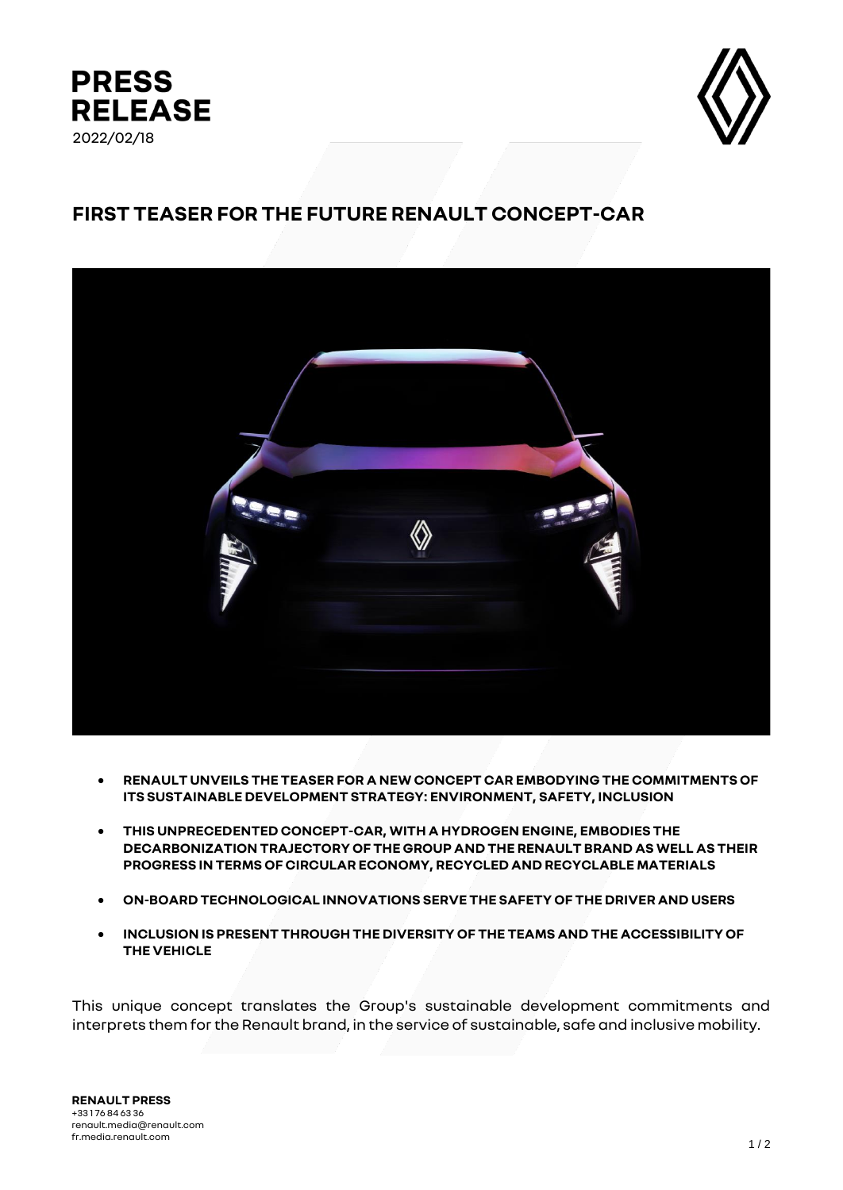



## **FIRST TEASER FOR THE FUTURE RENAULT CONCEPT-CAR**



- **RENAULT UNVEILS THE TEASER FOR A NEW CONCEPT CAR EMBODYING THE COMMITMENTS OF ITS SUSTAINABLE DEVELOPMENT STRATEGY: ENVIRONMENT, SAFETY, INCLUSION**
- **THIS UNPRECEDENTED CONCEPT-CAR, WITH A HYDROGEN ENGINE, EMBODIES THE DECARBONIZATION TRAJECTORY OF THE GROUP AND THE RENAULT BRAND AS WELL AS THEIR PROGRESS IN TERMS OF CIRCULAR ECONOMY, RECYCLED AND RECYCLABLE MATERIALS**
- **ON-BOARD TECHNOLOGICAL INNOVATIONS SERVE THE SAFETY OF THE DRIVER AND USERS**
- **INCLUSION IS PRESENT THROUGH THE DIVERSITY OF THE TEAMS AND THE ACCESSIBILITY OF THE VEHICLE**

This unique concept translates the Group's sustainable development commitments and interprets them for the Renault brand, in the service of sustainable, safe and inclusive mobility.